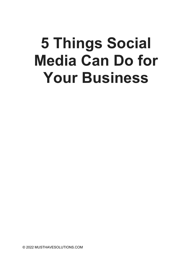# 5 Things Social Media Can Do for Your Business

© 2022 MUSTHAVESOLUTIONS.COM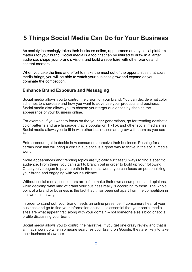## 5 Things Social Media Can Do for Your Business

As society increasingly takes their business online, appearance on any social platform matters for your brand. Social media is a tool that can be utilized to draw in a larger audience, shape your brand's vision, and build a repertoire with other brands and content creators.

When you take the time and effort to make the most out of the opportunities that social media brings, you will be able to watch your business grow and expand as you dominate the competition.

#### Enhance Brand Exposure and Messaging

Social media allows you to control the vision for your brand. You can decide what color schemes to showcase and how you want to advertise your products and business. Social media also allows you to choose your target audiences by shaping the appearance of your business online.

For example, if you want to focus on the younger generations, go for trending aesthetic color patterns and use language that is popular on TikTok and other social media sites. Social media allows you to fit in with other businesses and grow with them as you see fit.

Entrepreneurs get to decide how consumers perceive their business. Pushing for a certain look that will bring a certain audience is a great way to thrive in the social media world.

Niche appearances and trending topics are typically successful ways to find a specific audience. From there, you can start to branch out in order to build up your following. Once you've begun to pave a path in the media world, you can focus on personalizing your brand and engaging with your audience.

Without social media, consumers are left to make their own assumptions and opinions, while deciding what kind of brand your business really is according to them. The whole point of a brand or business is the fact that it has been set apart from the competition in its own unique way.

In order to stand out, your brand needs an online presence. If consumers hear of your business and go to find your information online, it is essential that your social media sites are what appear first, along with your domain – not someone else's blog or social profile discussing your brand.

Social media allows you to control the narrative. If you get one crazy review and that is all that shows up when someone searches your brand on Google, they are likely to take their business elsewhere.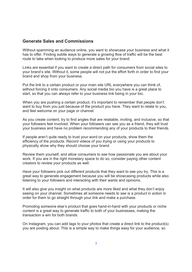#### Generate Sales and Commissions

Without spamming an audience online, you want to showcase your business and what it has to offer. Finding subtle ways to generate a growing flow of traffic will be the best route to take when looking to produce more sales for your brand.

Links are essential if you want to create a direct path for consumers from social sites to your brand's site. Without it, some people will not put the effort forth in order to find your brand and shop from your business.

Put the link to a certain product or your main site URL everywhere you can think of, without forcing it onto consumers. Any social media bio you have is a great place to start, so that you can always refer to your business link being in your bio.

When you are pushing a certain product, it's important to remember that people don't want to buy from you just because of the product you have. They want to relate to you, and feel welcome on your page or channel.

As you create content, try to find angles that are relatable, inviting, and inclusive, so that your followers feel involved. When your followers can see you as a friend, they will trust your business and have no problem recommending any of your products to their friends.

If people aren't quite ready to trust your word on your products, show them the efficiency of the products. Record videos of you trying or using your products to physically show why they should choose your brand.

Review them yourself, and allow consumers to see how passionate you are about your work. If you are in the right monetary space to do so, consider paying other content creators to review your products as well.

Have your followers pick out different products that they want to see you try. This is a great way to generate engagement because you will be showcasing products while also listening to your followers and interacting with their wants and opinions.

It will also give you insight on what products are more liked and what they don't enjoy seeing on your channel. Sometimes all someone needs to see is a product in action in order for them to go straight through your link and make a purchase.

Promoting someone else's product that goes hand-in-hand with your products or niche content is a great way to generate traffic to both of your businesses, making the transaction a win for both brands.

On Instagram, you can add tags to your photos that create a direct link to the product(s) you are posting about. This is a simple way to make things easy for your audience, so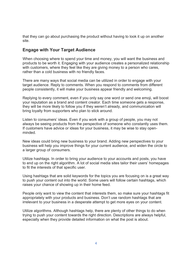that they can go about purchasing the product without having to look it up on another site.

### Engage with Your Target Audience

When choosing where to spend your time and money, you will want the business and products to be worth it. Engaging with your audience creates a personalized relationship with customers, where they feel like they are giving money to a person who cares, rather than a cold business with no friendly faces.

There are many ways that social media can be utilized in order to engage with your target audience. Reply to comments. When you respond to comments from different people consistently, it will make your business appear friendly and welcoming.

Replying to every comment, even if you only say one word or send one emoji, will boost your reputation as a brand and content creator. Each time someone gets a response, they will be more likely to follow you if they weren't already, and communication will bring loyalty from supporters who plan to stick around.

Listen to consumers' ideas. Even if you work with a group of people, you may not always be seeing products from the perspective of someone who constantly uses them. If customers have advice or ideas for your business, it may be wise to stay openminded.

New ideas could bring new business to your brand. Adding new perspectives to your business will help you improve things for your current audience, and widen the circle to a larger group of consumers.

Utilize hashtags. In order to bring your audience to your accounts and posts, you have to end up on the right algorithm. A lot of social media sites tailor their users' homepages to fit the interests of that specific user.

Using hashtags that are solid keywords for the topics you are focusing on is a great way to push your content out into the world. Some users will follow certain hashtags, which raises your chance of showing up in their home feed.

People only want to view the content that interests them, so make sure your hashtags fit appropriately with your products and business. Don't use random hashtags that are irrelevant to your business in a desperate attempt to get more eyes on your content.

Utilize algorithms. Although hashtags help, there are plenty of other things to do when trying to push your content towards the right direction. Descriptions are always helpful, especially when they provide detailed information on what the post is about.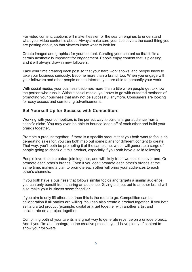For video content, captions will make it easier for the search engines to understand what your video content is about. Always make sure your title covers the exact thing you are posting about, so that viewers know what to look for.

Create images and graphics for your content. Curating your content so that it fits a certain aesthetic is important for engagement. People enjoy content that is pleasing, and it will always draw in new followers.

Take your time creating each post so that your hard work shows, and people know to take your business seriously. Become more than a brand, too. When you engage with your followers and other people on the Internet, you are able to personify your work.

With social media, your business becomes more than a title when people get to know the person who runs it. Without social media, you have to go with outdated methods of promoting your business that may not be successful anymore. Consumers are looking for easy access and comforting advertisements.

#### Set Yourself Up for Success with Competitors

Working with your competitors is the perfect way to build a larger audience from a specific niche. You may even be able to bounce ideas off of each other and build your brands together.

Promote a product together. If there is a specific product that you both want to focus on generating sales for, you can both map out some plans for different content to create. That way, you'll both be promoting it at the same time, which will generate a surge of people going to check out this product, especially if you both have a solid following.

People love to see creators join together, and will likely trust two opinions over one. Or, promote each other's brands. Even if you don't promote each other's brands at the same time, making a plan to promote each other will bring your audiences to each other's channels.

If you both have a business that follows similar topics and targets a similar audience, you can only benefit from sharing an audience. Giving a shout out to another brand will also make your business seem friendlier.

If you aim to only lift others up, then this is the route to go. Competition can be collaboration if all parties are willing. You can also create a product together. If you both sell a crafted product (example: digital art), get together with another artist and collaborate on a project together.

Combining both of your talents is a great way to generate revenue on a unique project. And if you film and photograph the creative process, you'll have plenty of content to show your followers.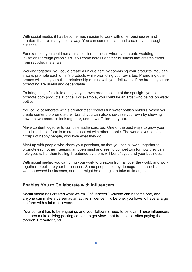With social media, it has become much easier to work with other businesses and creators that live many miles away. You can communicate and create even through distance.

For example, you could run a small online business where you create wedding invitations through graphic art. You come across another business that creates cards from recycled materials.

Working together, you could create a unique item by combining your products. You can always promote each other's products while promoting your own, too. Promoting other brands will help you build a relationship of trust with your followers, if the brands you are promoting are useful and dependable.

To bring things full circle and give your own product some of the spotlight, you can promote both products at once. For example, you could be an artist who paints on water bottles.

You could collaborate with a creator that crochets fun water bottles holders. When you create content to promote their brand, you can also showcase your own by showing how the two products look together, and how efficient they are.

Make content together to combine audiences, too. One of the best ways to grow your social media platform is to create content with other people. The world loves to see groups of happy people, who love what they do.

Meet up with people who share your passions, so that you can all work together to promote each other. Keeping an open mind and seeing competitors for how they can help you, rather than feeling threatened by them, will benefit you and your business.

With social media, you can bring your work to creators from all over the world, and work together to build up your businesses. Some people do it by demographics, such as women-owned businesses, and that might be an angle to take at times, too.

#### Enables You to Collaborate with Influencers

Social media has created what we call "influencers." Anyone can become one, and anyone can make a career as an active influencer. To be one, you have to have a large platform with a lot of followers.

Your content has to be engaging, and your followers need to be loyal. These influencers can then make a living posting content to get views that from social sites paying them through a "creator fund."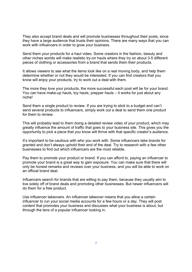They also accept brand deals and will promote businesses throughout their posts, since they have a large audience that trusts their opinions. There are many ways that you can work with influencers in order to grow your business.

Send them your products for a haul video. Some creators in the fashion, beauty and other niches worlds will make realistic try-on hauls where they try on about 3-5 different pieces of clothing or accessories from a brand that sends them their products.

It allows viewers to see what the items look like on a real moving body, and help them determine whether or not they would be interested. If you can find creators that you know will enjoy your products, try to work out a deal with them.

The more they love your products, the more successful each post will be for your brand. You can have make-up hauls, toy hauls, prepper hauls – it works for just about any niche!

Send them a single product to review. If you are trying to stick to a budget and can't send several products to influencers, simply work out a deal to send them one product for them to review.

This will probably lead to them doing a detailed review video of your product, which may greatly influence the amount of traffic that goes to your business site. This gives you the opportunity to pick a piece that you know will thrive with that specific creator's audience.

It's important to be cautious with who you work with. Some influencers take brands for granted and don't always uphold their end of the deal. Try to research with a few other businesses to find out which influencers are the most reliable.

Pay them to promote your product or brand. If you can afford to, paying an influencer to promote your brand is a great way to gain exposure. You can make sure that there will only be honest remarks and reviews over your business, and you will be able to work on an official brand deal.

Influencers search for brands that are willing to pay them, because they usually aim to live solely off of brand deals and promoting other businesses. But newer influencers will do them for a free product.

Use influencer takeovers. An influencer takeover means that you allow a certain influencer to run your social media accounts for a few hours or a day. They will post content that promotes your business and discusses what your business is about, but through the lens of a popular influencer looking in.